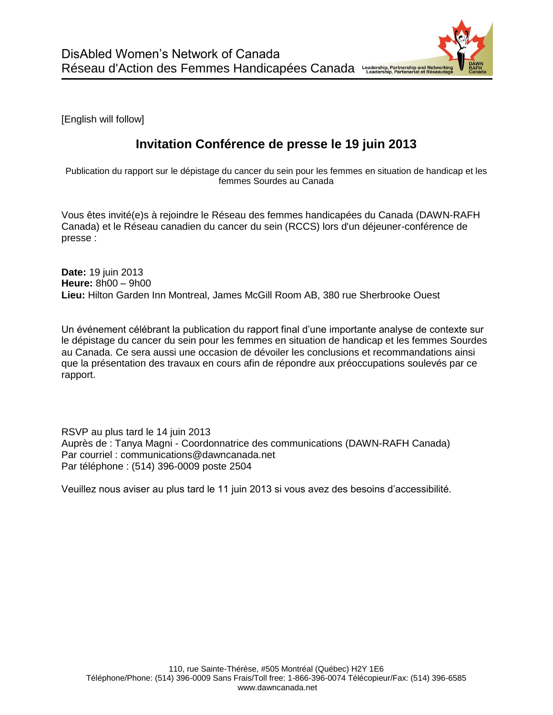[English will follow]

## **Invitation Conférence de presse le 19 juin 2013**

Publication du rapport sur le dépistage du cancer du sein pour les femmes en situation de handicap et les femmes Sourdes au Canada

Vous êtes invité(e)s à rejoindre le Réseau des femmes handicapées du Canada (DAWN-RAFH Canada) et le Réseau canadien du cancer du sein (RCCS) lors d'un déjeuner-conférence de presse :

**Date:** 19 juin 2013 **Heure:** 8h00 – 9h00 **Lieu:** Hilton Garden Inn Montreal, James McGill Room AB, 380 rue Sherbrooke Ouest

Un événement célébrant la publication du rapport final d'une importante analyse de contexte sur le dépistage du cancer du sein pour les femmes en situation de handicap et les femmes Sourdes au Canada. Ce sera aussi une occasion de dévoiler les conclusions et recommandations ainsi que la présentation des travaux en cours afin de répondre aux préoccupations soulevés par ce rapport.

RSVP au plus tard le 14 juin 2013 Auprès de : Tanya Magni - Coordonnatrice des communications (DAWN-RAFH Canada) Par courriel : communications@dawncanada.net Par téléphone : (514) 396-0009 poste 2504

Veuillez nous aviser au plus tard le 11 juin 2013 si vous avez des besoins d'accessibilité.